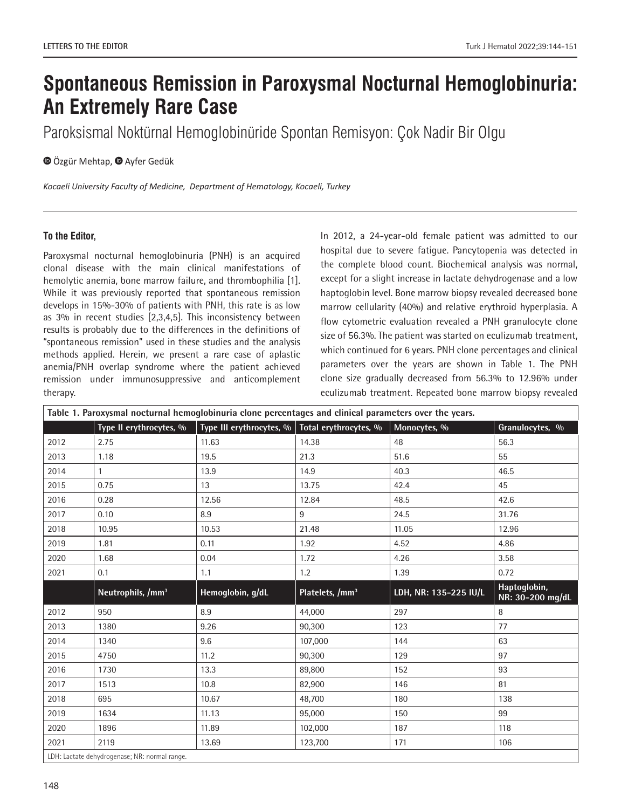## **Spontaneous Remission in Paroxysmal Nocturnal Hemoglobinuria: An Extremely Rare Case**

Paroksismal Noktürnal Hemoglobinüride Spontan Remisyon: Çok Nadir Bir Olgu

**O**Özgür Mehtap, **O** Ayfer Gedük

*Kocaeli University Faculty of Medicine, Department of Hematology, Kocaeli, Turkey*

## **To the Editor,**

Paroxysmal nocturnal hemoglobinuria (PNH) is an acquired clonal disease with the main clinical manifestations of hemolytic anemia, bone marrow failure, and thrombophilia [1]. While it was previously reported that spontaneous remission develops in 15%-30% of patients with PNH, this rate is as low as 3% in recent studies [2,3,4,5]. This inconsistency between results is probably due to the differences in the definitions of "spontaneous remission" used in these studies and the analysis methods applied. Herein, we present a rare case of aplastic anemia/PNH overlap syndrome where the patient achieved remission under immunosuppressive and anticomplement therapy.

In 2012, a 24-year-old female patient was admitted to our hospital due to severe fatigue. Pancytopenia was detected in the complete blood count. Biochemical analysis was normal, except for a slight increase in lactate dehydrogenase and a low haptoglobin level. Bone marrow biopsy revealed decreased bone marrow cellularity (40%) and relative erythroid hyperplasia. A flow cytometric evaluation revealed a PNH granulocyte clone size of 56.3%. The patient was started on eculizumab treatment, which continued for 6 years. PNH clone percentages and clinical parameters over the years are shown in Table 1. The PNH clone size gradually decreased from 56.3% to 12.96% under eculizumab treatment. Repeated bone marrow biopsy revealed

| Table 1. Paroxysmal nocturnal hemoglobinuria clone percentages and clinical parameters over the years. |                               |                                                      |                             |                       |                                  |
|--------------------------------------------------------------------------------------------------------|-------------------------------|------------------------------------------------------|-----------------------------|-----------------------|----------------------------------|
|                                                                                                        | Type II erythrocytes, %       | Type III erythrocytes, $\%$ Total erythrocytes, $\%$ |                             | Monocytes, %          | Granulocytes, %                  |
| 2012                                                                                                   | 2.75                          | 11.63                                                | 14.38                       | 48                    | 56.3                             |
| 2013                                                                                                   | 1.18                          | 19.5                                                 | 21.3                        | 51.6                  | 55                               |
| 2014                                                                                                   | $\mathbf{1}$                  | 13.9                                                 | 14.9                        | 40.3                  | 46.5                             |
| 2015                                                                                                   | 0.75                          | 13                                                   | 13.75                       | 42.4                  | 45                               |
| 2016                                                                                                   | 0.28                          | 12.56                                                | 12.84                       | 48.5                  | 42.6                             |
| 2017                                                                                                   | 0.10                          | 8.9                                                  | 9                           | 24.5                  | 31.76                            |
| 2018                                                                                                   | 10.95                         | 10.53                                                | 21.48                       | 11.05                 | 12.96                            |
| 2019                                                                                                   | 1.81                          | 0.11                                                 | 1.92                        | 4.52                  | 4.86                             |
| 2020                                                                                                   | 1.68                          | 0.04                                                 | 1.72                        | 4.26                  | 3.58                             |
| 2021                                                                                                   | 0.1                           | 1.1                                                  | 1.2                         | 1.39                  | 0.72                             |
|                                                                                                        |                               |                                                      |                             |                       |                                  |
|                                                                                                        | Neutrophils, /mm <sup>3</sup> | Hemoglobin, g/dL                                     | Platelets, /mm <sup>3</sup> | LDH, NR: 135-225 IU/L | Haptoglobin,<br>NR: 30-200 mg/dL |
| 2012                                                                                                   | 950                           | 8.9                                                  | 44,000                      | 297                   | 8                                |
| 2013                                                                                                   | 1380                          | 9.26                                                 | 90.300                      | 123                   | 77                               |
| 2014                                                                                                   | 1340                          | 9.6                                                  | 107,000                     | 144                   | 63                               |
| 2015                                                                                                   | 4750                          | 11.2                                                 | 90,300                      | 129                   | 97                               |
| 2016                                                                                                   | 1730                          | 13.3                                                 | 89,800                      | 152                   | 93                               |
| 2017                                                                                                   | 1513                          | 10.8                                                 | 82,900                      | 146                   | 81                               |
| 2018                                                                                                   | 695                           | 10.67                                                | 48,700                      | 180                   | 138                              |
| 2019                                                                                                   | 1634                          | 11.13                                                | 95,000                      | 150                   | 99                               |
| 2020                                                                                                   | 1896                          | 11.89                                                | 102,000                     | 187                   | 118                              |
| 2021                                                                                                   | 2119                          | 13.69                                                | 123,700                     | 171                   | 106                              |